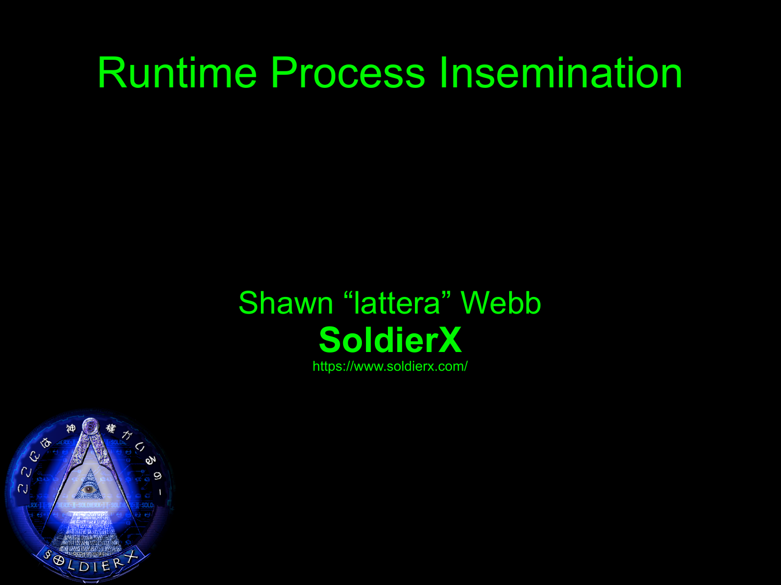### Runtime Process Insemination

### Shawn "lattera" Webb **SoldierX**

https://www.soldierx.com/

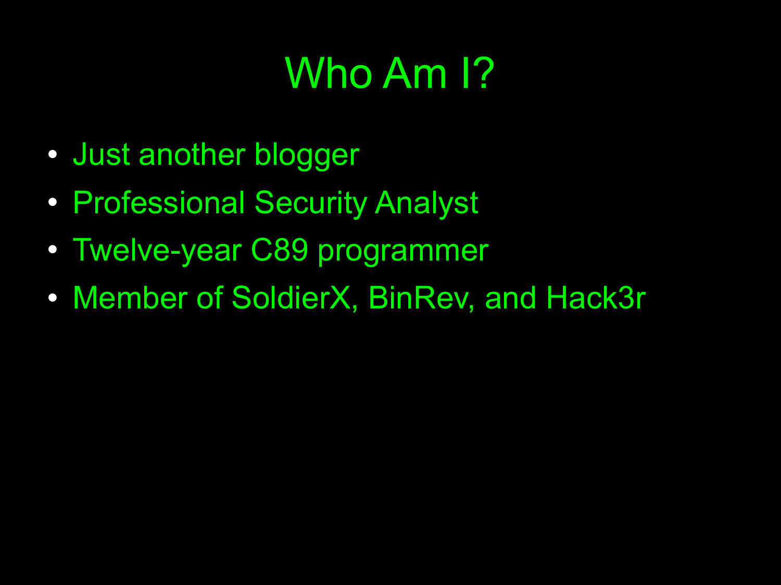# Who Am I?

- Just another blogger
- Professional Security Analyst
- Twelve-year C89 programmer
- Member of SoldierX, BinRev, and Hack3r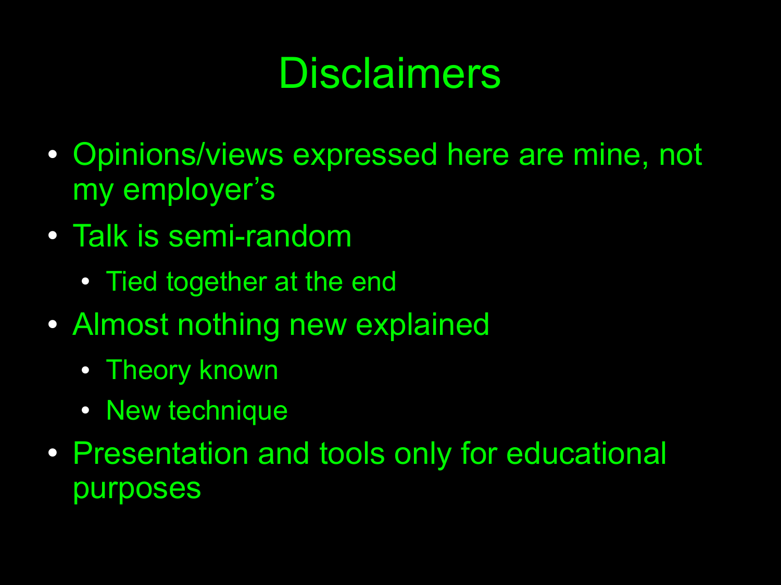## **Disclaimers**

- Opinions/views expressed here are mine, not my employer's
- Talk is semi-random
	- Tied together at the end
- Almost nothing new explained
	- Theory known
	- New technique
- Presentation and tools only for educational purposes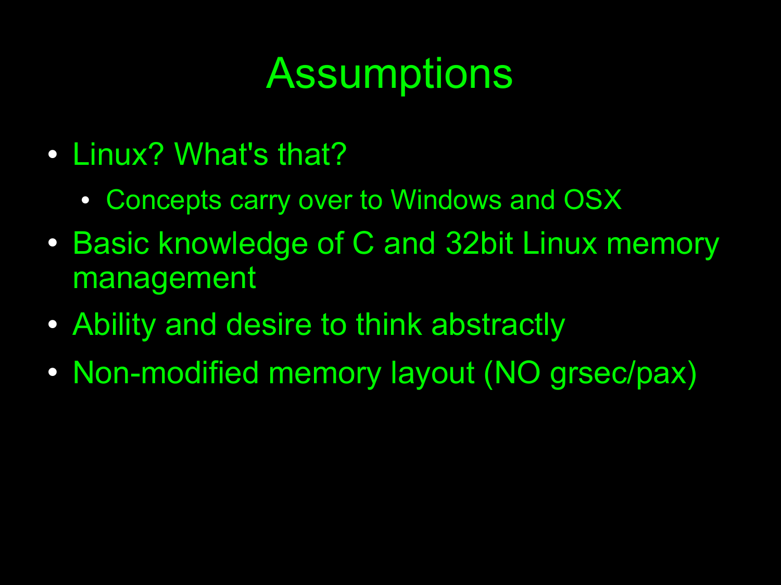## **Assumptions**

- Linux? What's that?
	- Concepts carry over to Windows and OSX
- Basic knowledge of C and 32bit Linux memory management
- Ability and desire to think abstractly
- Non-modified memory layout (NO grsec/pax)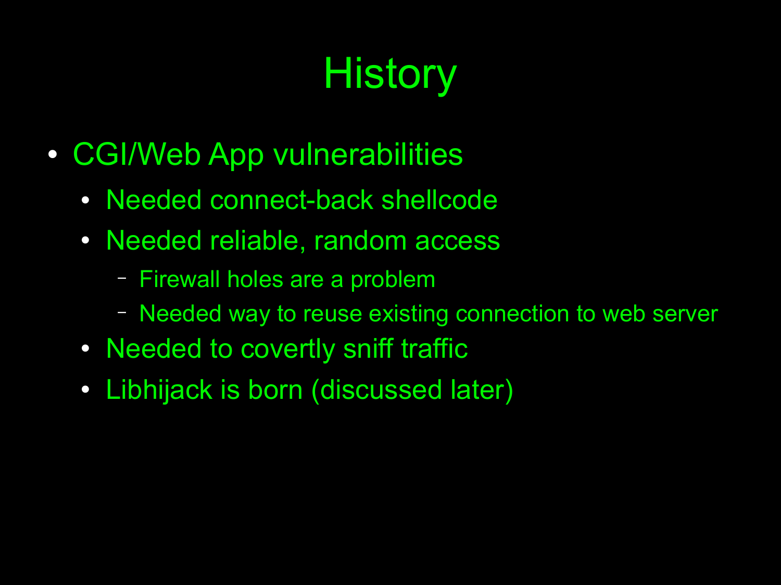# **History**

- CGI/Web App vulnerabilities
	- Needed connect-back shellcode
	- Needed reliable, random access
		- − Firewall holes are a problem
		- − Needed way to reuse existing connection to web server
	- Needed to covertly sniff traffic
	- Libhijack is born (discussed later)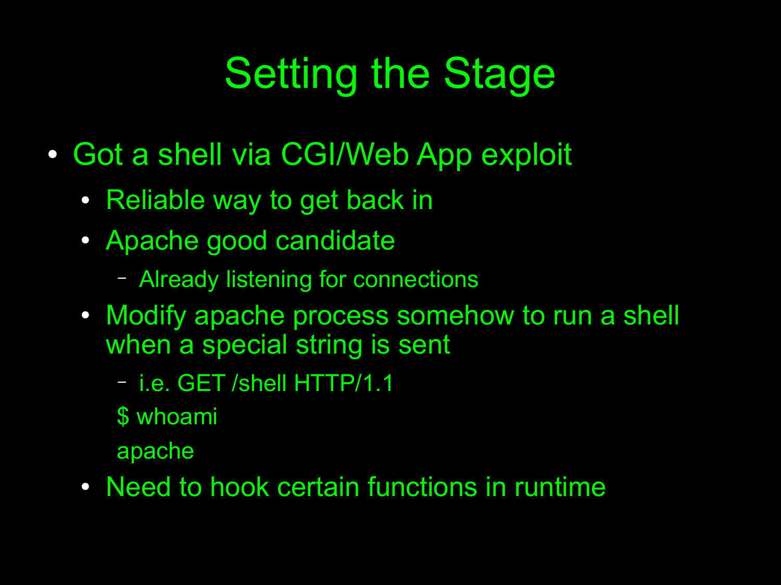# Setting the Stage

- Got a shell via CGI/Web App exploit
	- Reliable way to get back in
	- Apache good candidate
		- − Already listening for connections
	- Modify apache process somehow to run a shell when a special string is sent
		- − i.e. GET /shell HTTP/1.1
		- \$ whoami
		- apache
	- Need to hook certain functions in runtime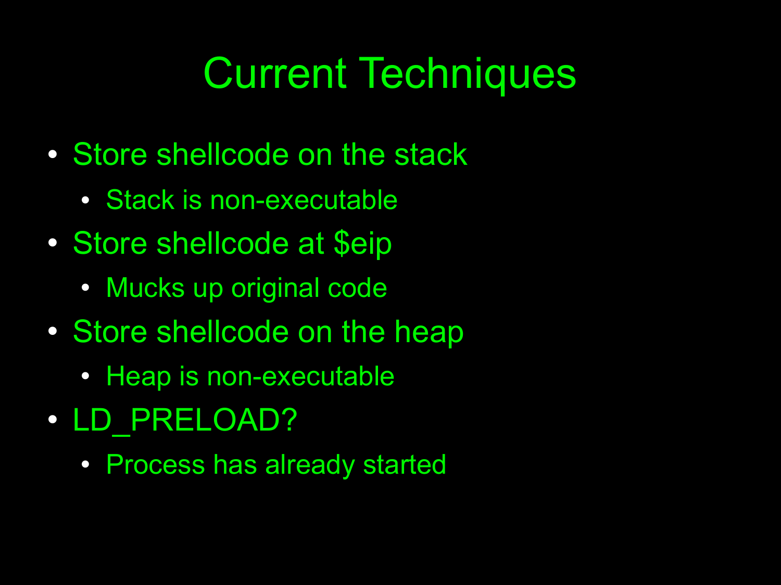## Current Techniques

- Store shellcode on the stack
	- Stack is non-executable
- Store shellcode at \$eip
	- Mucks up original code
- Store shellcode on the heap
	- Heap is non-executable
- **. LD PRELOAD?** 
	- Process has already started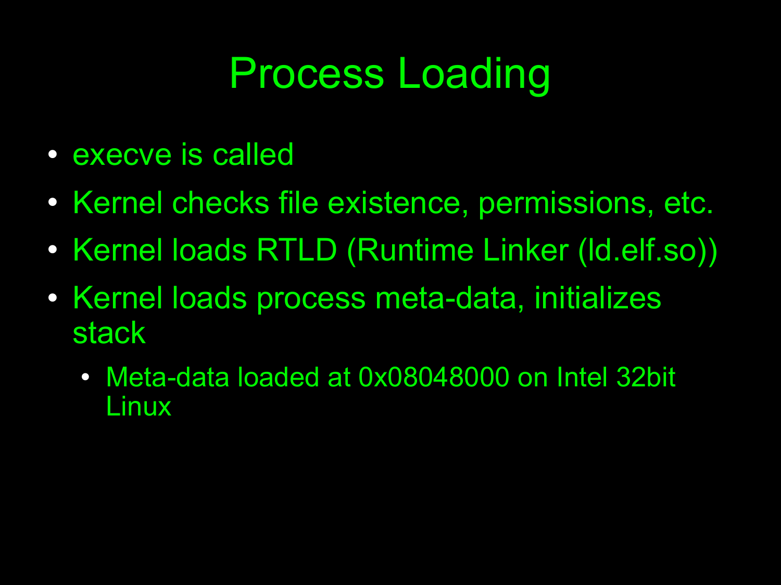## Process Loading

- execve is called
- Kernel checks file existence, permissions, etc.
- Kernel loads RTLD (Runtime Linker (Id.elf.so))
- Kernel loads process meta-data, initializes stack
	- Meta-data loaded at 0x08048000 on Intel 32bit Linux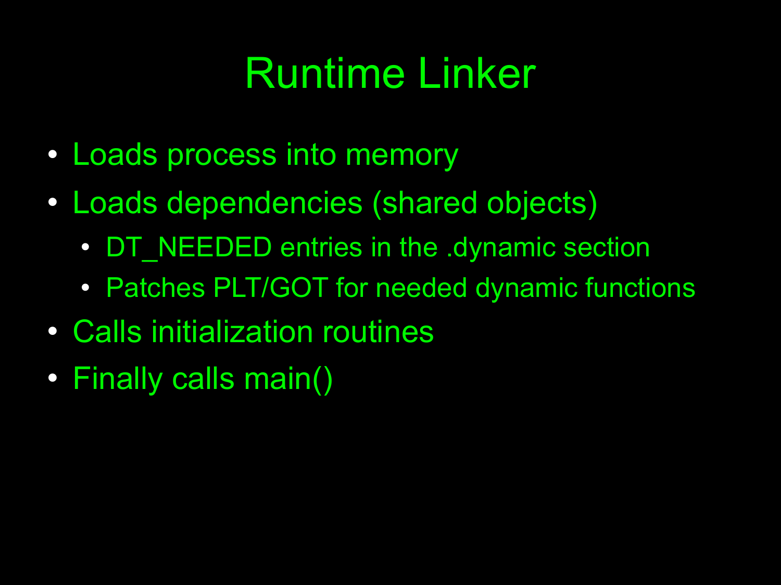## Runtime Linker

- Loads process into memory
- Loads dependencies (shared objects)
	- DT NEEDED entries in the .dynamic section
	- Patches PLT/GOT for needed dynamic functions
- Calls initialization routines
- Finally calls main()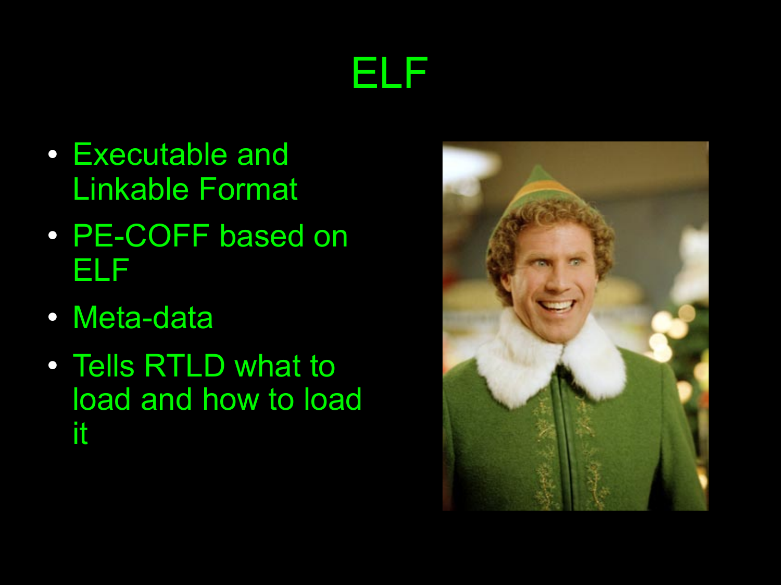### ELF

- Executable and Linkable Format
- PE-COFF based on ELF
- Meta-data
- Tells RTLD what to load and how to load it

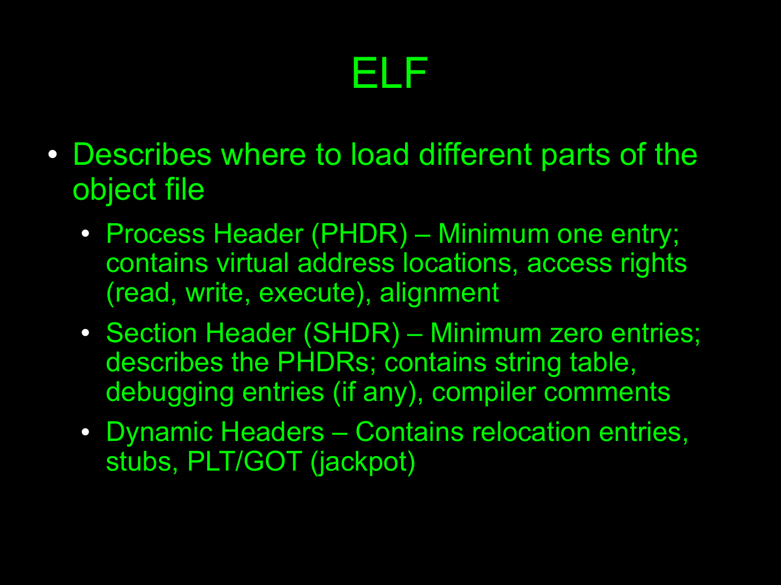### ELF

- Describes where to load different parts of the object file
	- Process Header (PHDR) Minimum one entry; contains virtual address locations, access rights (read, write, execute), alignment
	- Section Header (SHDR) Minimum zero entries; describes the PHDRs; contains string table, debugging entries (if any), compiler comments
	- Dynamic Headers Contains relocation entries, stubs, PLT/GOT (jackpot)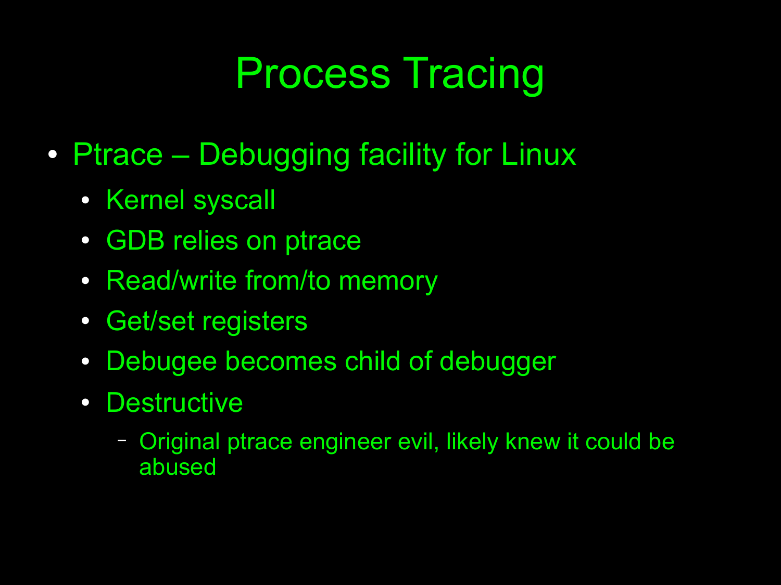# Process Tracing

- Ptrace Debugging facility for Linux
	- Kernel syscall
	- GDB relies on ptrace
	- Read/write from/to memory
	- Get/set registers
	- Debugee becomes child of debugger
	- Destructive
		- − Original ptrace engineer evil, likely knew it could be abused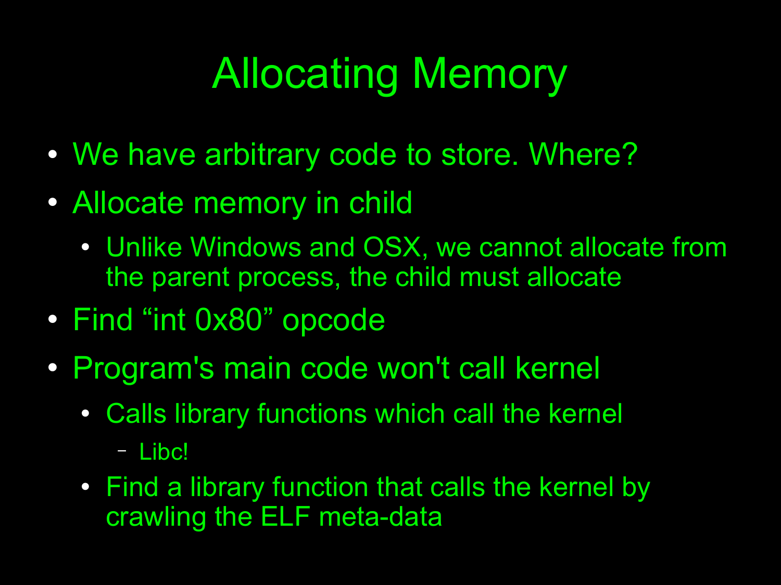# Allocating Memory

- We have arbitrary code to store. Where?
- Allocate memory in child
	- Unlike Windows and OSX, we cannot allocate from the parent process, the child must allocate
- Find "int 0x80" opcode
- Program's main code won't call kernel
	- Calls library functions which call the kernel
		- − Libc!
	- Find a library function that calls the kernel by crawling the ELF meta-data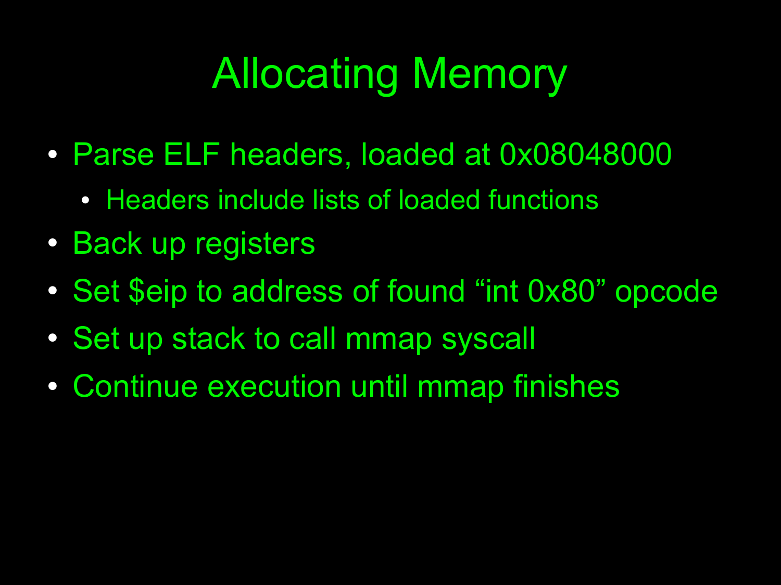# Allocating Memory

- Parse ELF headers, loaded at 0x08048000
	- Headers include lists of loaded functions
- Back up registers
- Set \$eip to address of found "int 0x80" opcode
- Set up stack to call mmap syscall
- Continue execution until mmap finishes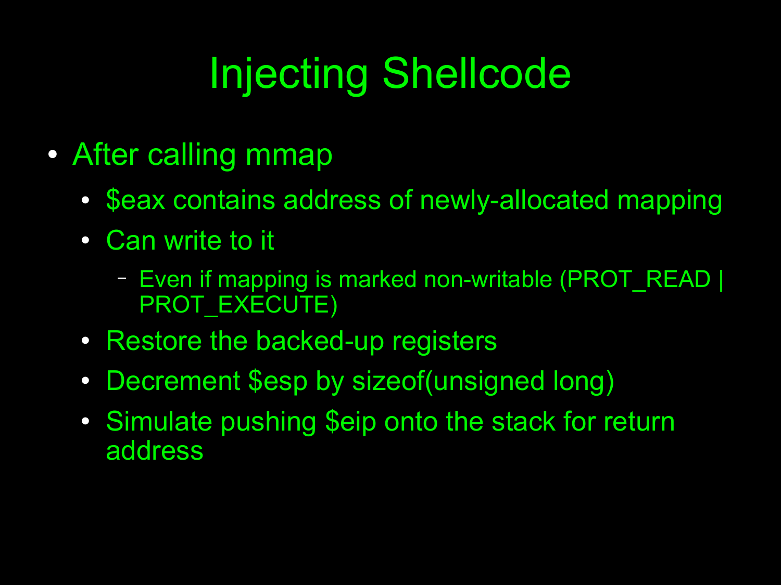# Injecting Shellcode

- After calling mmap
	- Seax contains address of newly-allocated mapping
	- Can write to it
		- − Even if mapping is marked non-writable (PROT\_READ | PROT\_EXECUTE)
	- Restore the backed-up registers
	- Decrement \$esp by sizeof(unsigned long)
	- Simulate pushing \$eip onto the stack for return address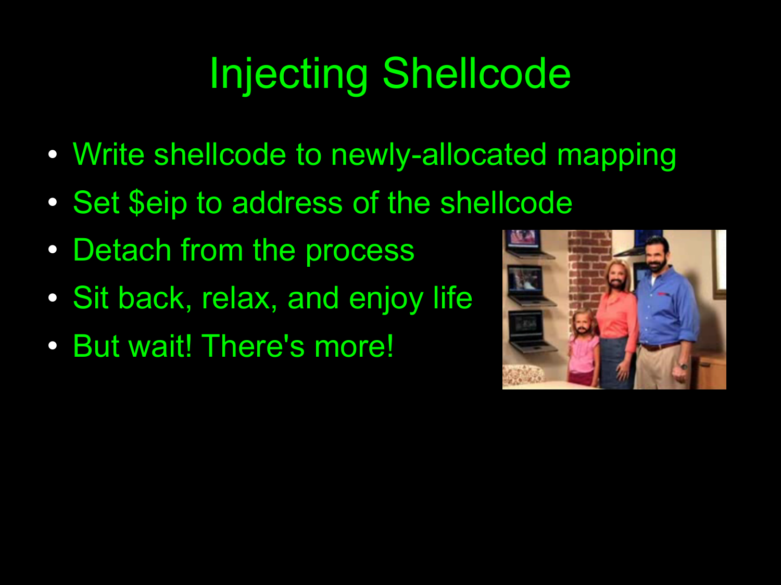# Injecting Shellcode

- Write shellcode to newly-allocated mapping
- Set \$eip to address of the shellcode
- Detach from the process
- Sit back, relax, and enjoy life
- But wait! There's more!

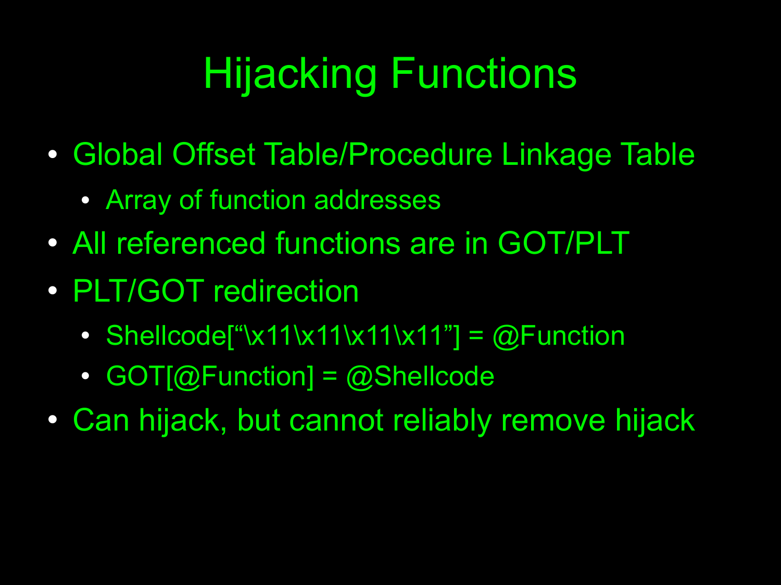# Hijacking Functions

- Global Offset Table/Procedure Linkage Table
	- Array of function addresses
- All referenced functions are in GOT/PLT
- PLT/GOT redirection
	- $\cdot$  Shellcode["\x11\x11\x11\x11"] = @Function
	- GOT[@Function] = @Shellcode
- Can hijack, but cannot reliably remove hijack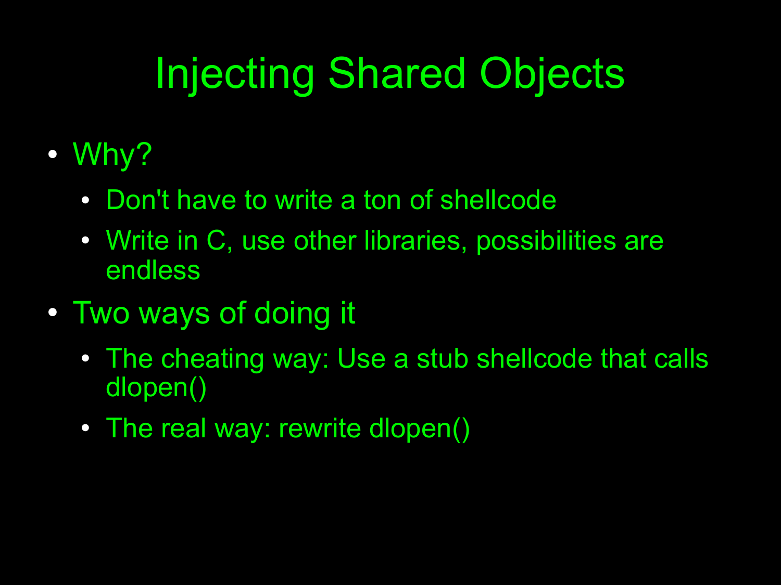# Injecting Shared Objects

- Why?
	- Don't have to write a ton of shellcode
	- Write in C, use other libraries, possibilities are endless
- Two ways of doing it
	- The cheating way: Use a stub shellcode that calls dlopen()
	- The real way: rewrite dlopen()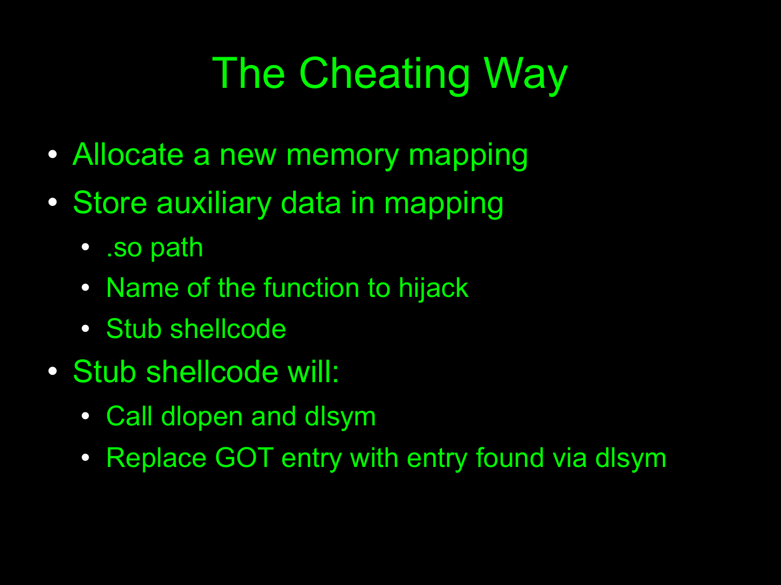# The Cheating Way

- Allocate a new memory mapping
- Store auxiliary data in mapping
	- .so path
	- Name of the function to hijack
	- Stub shellcode
- Stub shellcode will:
	- Call dlopen and dlsym
	- Replace GOT entry with entry found via dlsym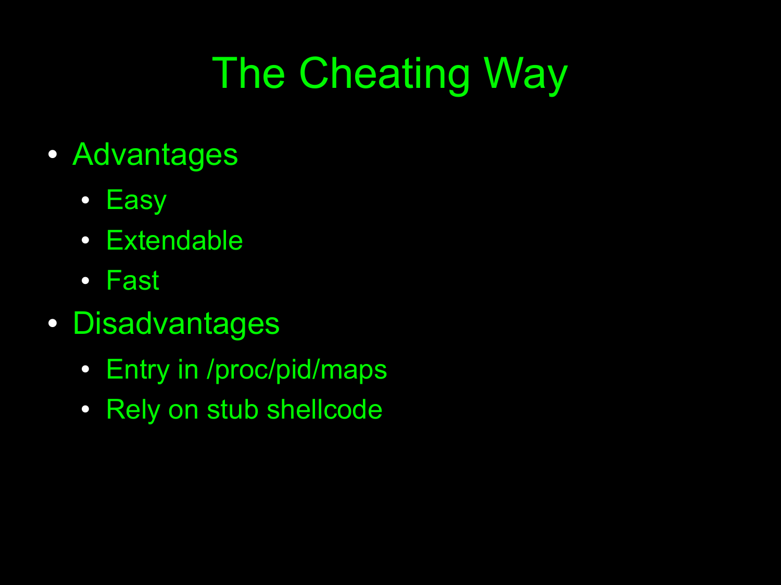# The Cheating Way

- Advantages
	- Easy
	- Extendable
	- Fast
- Disadvantages
	- Entry in /proc/pid/maps
	- Rely on stub shellcode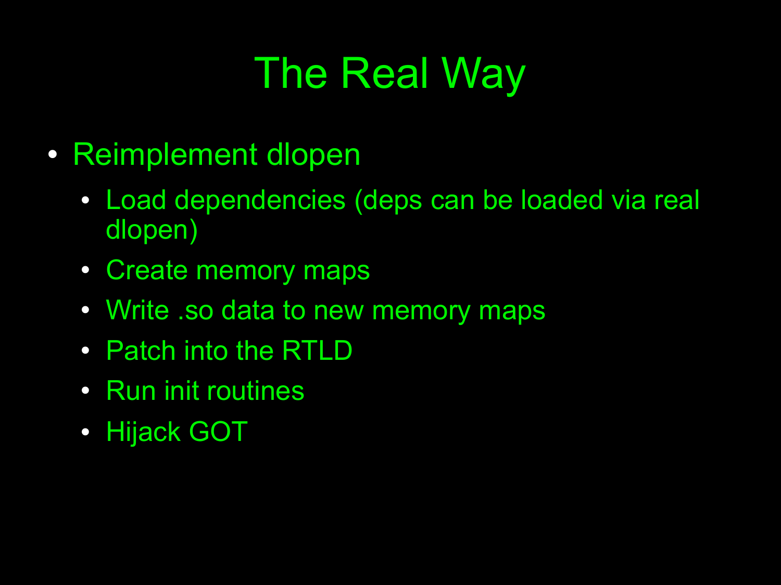# The Real Way

- Reimplement dlopen
	- Load dependencies (deps can be loaded via real dlopen)
	- Create memory maps
	- Write .so data to new memory maps
	- Patch into the RTLD
	- Run init routines
	- Hijack GOT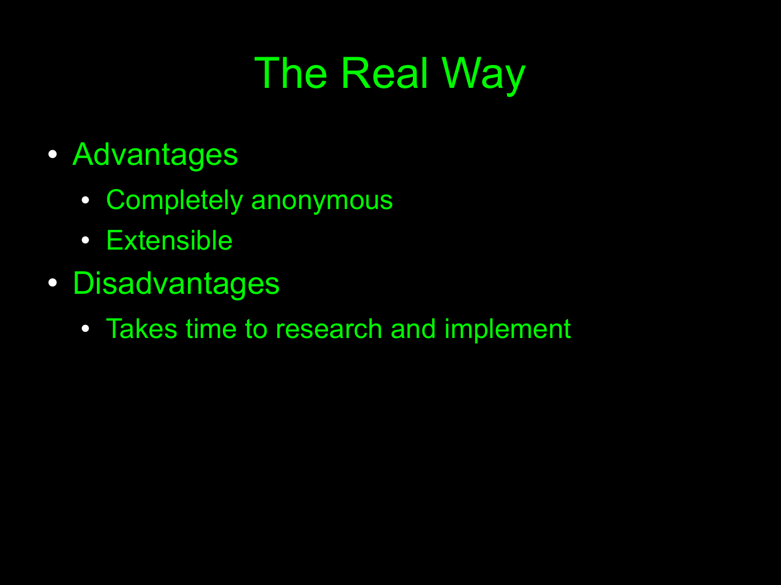# The Real Way

- Advantages
	- Completely anonymous
	- Extensible
- Disadvantages
	- Takes time to research and implement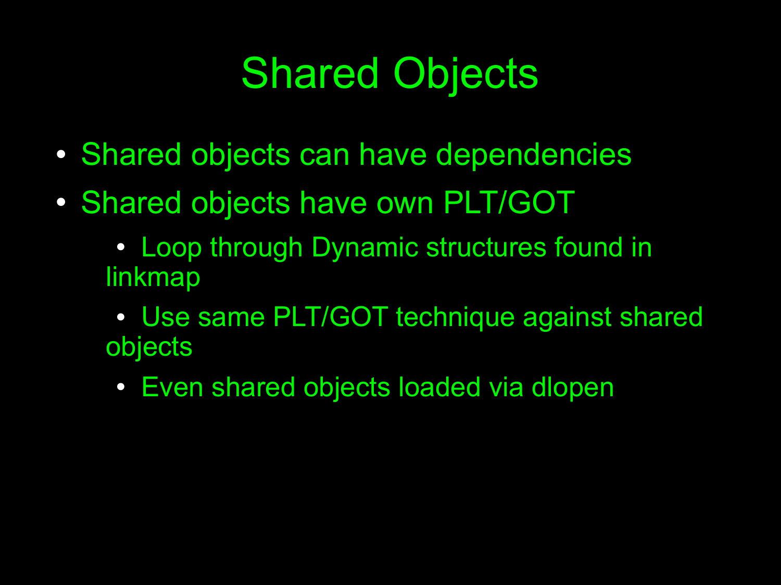## Shared Objects

- Shared objects can have dependencies
- Shared objects have own PLT/GOT
	- Loop through Dynamic structures found in linkmap
	- Use same PLT/GOT technique against shared objects
	- Even shared objects loaded via dlopen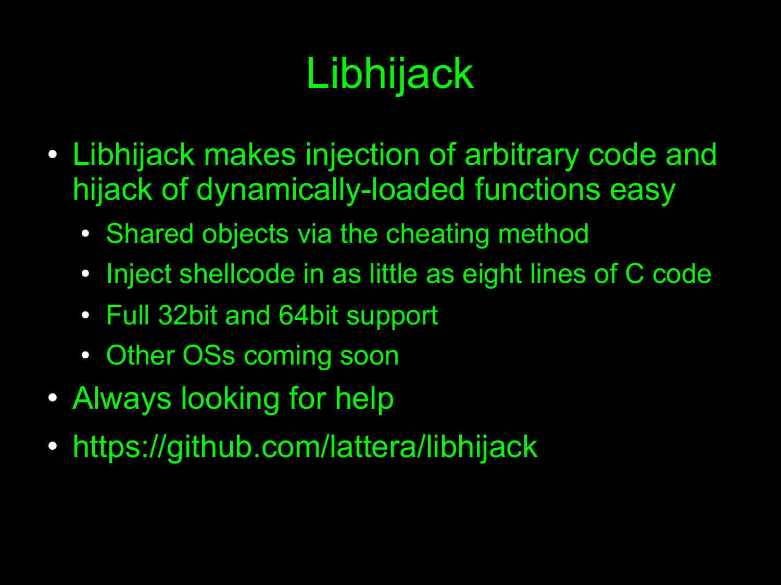# Libhijack

- Libhijack makes injection of arbitrary code and hijack of dynamically-loaded functions easy
	- Shared objects via the cheating method
	- Inject shellcode in as little as eight lines of C code
	- Full 32bit and 64bit support
	- Other OSs coming soon
- Always looking for help
- https://github.com/lattera/libhijack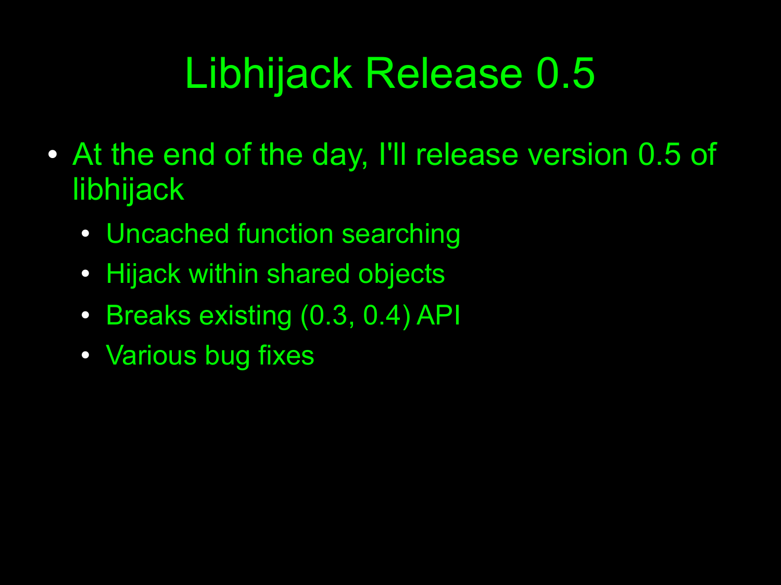# Libhijack Release 0.5

- At the end of the day, I'll release version 0.5 of libhijack
	- Uncached function searching
	- Hijack within shared objects
	- Breaks existing (0.3, 0.4) API
	- Various bug fixes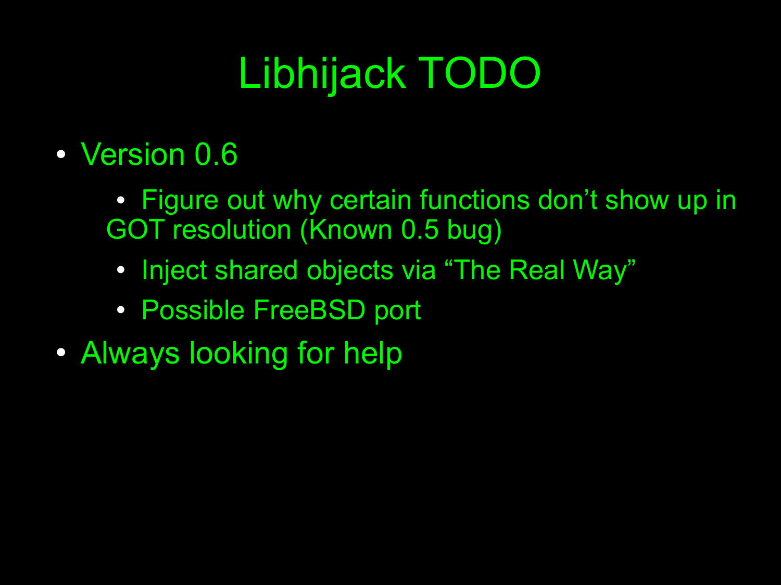# Libhijack TODO

- Version 0.6
	- Figure out why certain functions don't show up in GOT resolution (Known 0.5 bug)
		- Inject shared objects via "The Real Way"
		- Possible FreeBSD port
- Always looking for help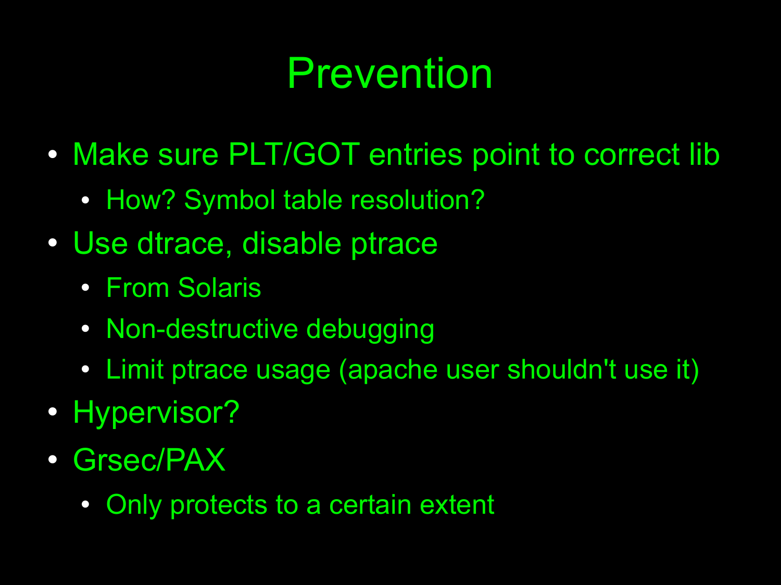## Prevention

- Make sure PLT/GOT entries point to correct lib
	- How? Symbol table resolution?
- Use dtrace, disable ptrace
	- From Solaris
	- Non-destructive debugging
	- Limit ptrace usage (apache user shouldn't use it)
- Hypervisor?
- Grsec/PAX
	- Only protects to a certain extent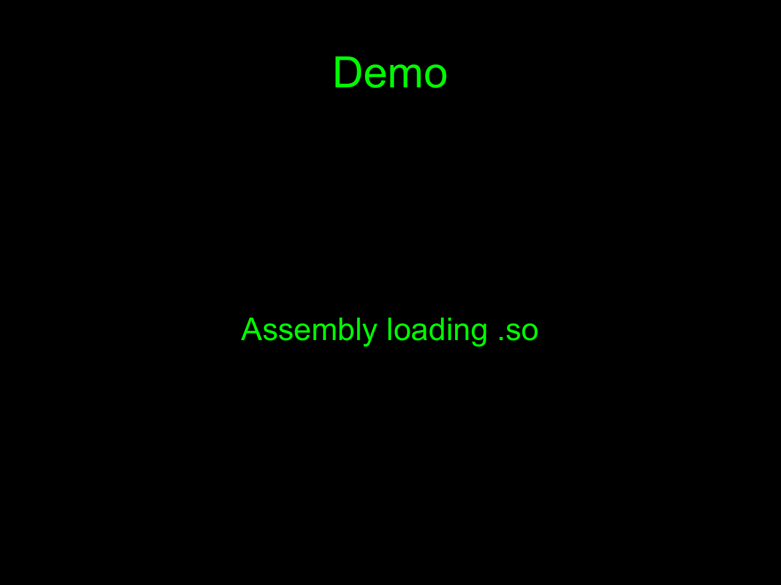

#### Assembly loading .so